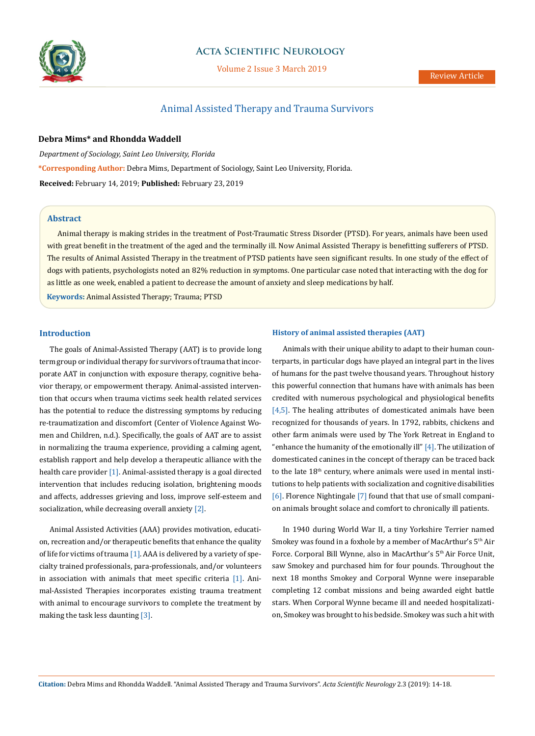

# **Acta Scientific Neurology**

Volume 2 Issue 3 March 2019

# Animal Assisted Therapy and Trauma Survivors

**Debra Mims\* and Rhondda Waddell**

*Department of Sociology, Saint Leo University, Florida* **\*Corresponding Author:** Debra Mims, Department of Sociology, Saint Leo University, Florida. **Received:** February 14, 2019; **Published:** February 23, 2019

### **Abstract**

Animal therapy is making strides in the treatment of Post-Traumatic Stress Disorder (PTSD). For years, animals have been used with great benefit in the treatment of the aged and the terminally ill. Now Animal Assisted Therapy is benefitting sufferers of PTSD. The results of Animal Assisted Therapy in the treatment of PTSD patients have seen significant results. In one study of the effect of dogs with patients, psychologists noted an 82% reduction in symptoms. One particular case noted that interacting with the dog for as little as one week, enabled a patient to decrease the amount of anxiety and sleep medications by half.

**Keywords:** Animal Assisted Therapy; Trauma; PTSD

### **Introduction**

The goals of Animal-Assisted Therapy (AAT) is to provide long term group or individual therapy for survivors of trauma that incorporate AAT in conjunction with exposure therapy, cognitive behavior therapy, or empowerment therapy. Animal-assisted intervention that occurs when trauma victims seek health related services has the potential to reduce the distressing symptoms by reducing re-traumatization and discomfort (Center of Violence Against Women and Children, n.d.). Specifically, the goals of AAT are to assist in normalizing the trauma experience, providing a calming agent, establish rapport and help develop a therapeutic alliance with the health care provider  $[1]$ . Animal-assisted therapy is a goal directed intervention that includes reducing isolation, brightening moods and affects, addresses grieving and loss, improve self-esteem and socialization, while decreasing overall anxiety [2].

Animal Assisted Activities (AAA) provides motivation, education, recreation and/or therapeutic benefits that enhance the quality of life for victims of trauma [1]. AAA is delivered by a variety of specialty trained professionals, para-professionals, and/or volunteers in association with animals that meet specific criteria [1]. Animal-Assisted Therapies incorporates existing trauma treatment with animal to encourage survivors to complete the treatment by making the task less daunting [3].

### **History of animal assisted therapies (AAT)**

Animals with their unique ability to adapt to their human counterparts, in particular dogs have played an integral part in the lives of humans for the past twelve thousand years. Throughout history this powerful connection that humans have with animals has been credited with numerous psychological and physiological benefits  $[4,5]$ . The healing attributes of domesticated animals have been recognized for thousands of years. In 1792, rabbits, chickens and other farm animals were used by The York Retreat in England to "enhance the humanity of the emotionally ill"  $[4]$ . The utilization of domesticated canines in the concept of therapy can be traced back to the late  $18<sup>th</sup>$  century, where animals were used in mental institutions to help patients with socialization and cognitive disabilities [6]. Florence Nightingale [7] found that that use of small companion animals brought solace and comfort to chronically ill patients.

In 1940 during World War II, a tiny Yorkshire Terrier named Smokey was found in a foxhole by a member of MacArthur's 5<sup>th</sup> Air Force. Corporal Bill Wynne, also in MacArthur's 5<sup>th</sup> Air Force Unit, saw Smokey and purchased him for four pounds. Throughout the next 18 months Smokey and Corporal Wynne were inseparable completing 12 combat missions and being awarded eight battle stars. When Corporal Wynne became ill and needed hospitalization, Smokey was brought to his bedside. Smokey was such a hit with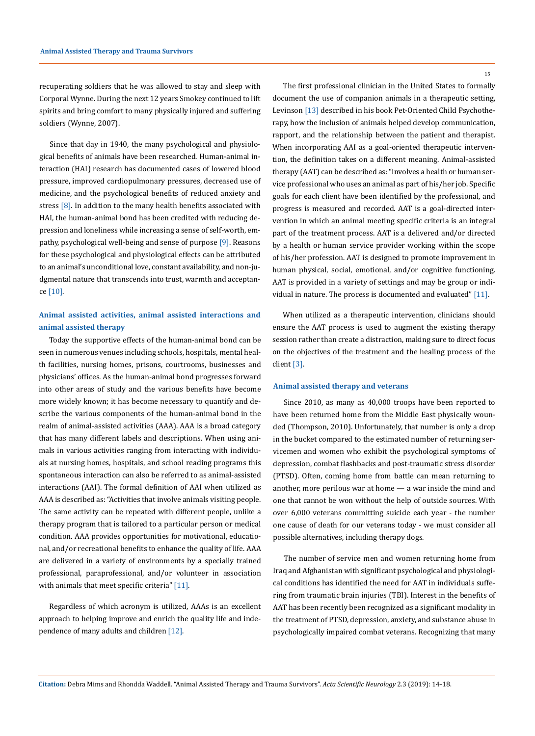recuperating soldiers that he was allowed to stay and sleep with Corporal Wynne. During the next 12 years Smokey continued to lift spirits and bring comfort to many physically injured and suffering soldiers (Wynne, 2007).

Since that day in 1940, the many psychological and physiological benefits of animals have been researched. Human-animal interaction (HAI) research has documented cases of lowered blood pressure, improved cardiopulmonary pressures, decreased use of medicine, and the psychological benefits of reduced anxiety and stress [8]. In addition to the many health benefits associated with HAI, the human-animal bond has been credited with reducing depression and loneliness while increasing a sense of self-worth, empathy, psychological well-being and sense of purpose [9]. Reasons for these psychological and physiological effects can be attributed to an animal's unconditional love, constant availability, and non-judgmental nature that transcends into trust, warmth and acceptance [10].

# **Animal assisted activities, animal assisted interactions and animal assisted therapy**

Today the supportive effects of the human-animal bond can be seen in numerous venues including schools, hospitals, mental health facilities, nursing homes, prisons, courtrooms, businesses and physicians' offices. As the human-animal bond progresses forward into other areas of study and the various benefits have become more widely known; it has become necessary to quantify and describe the various components of the human-animal bond in the realm of animal-assisted activities (AAA). AAA is a broad category that has many different labels and descriptions. When using animals in various activities ranging from interacting with individuals at nursing homes, hospitals, and school reading programs this spontaneous interaction can also be referred to as animal-assisted interactions (AAI). The formal definition of AAI when utilized as AAA is described as: "Activities that involve animals visiting people. The same activity can be repeated with different people, unlike a therapy program that is tailored to a particular person or medical condition. AAA provides opportunities for motivational, educational, and/or recreational benefits to enhance the quality of life. AAA are delivered in a variety of environments by a specially trained professional, paraprofessional, and/or volunteer in association with animals that meet specific criteria" [11].

Regardless of which acronym is utilized, AAAs is an excellent approach to helping improve and enrich the quality life and independence of many adults and children [12].

15

The first professional clinician in the United States to formally document the use of companion animals in a therapeutic setting, Levinson [13] described in his book Pet-Oriented Child Psychotherapy, how the inclusion of animals helped develop communication, rapport, and the relationship between the patient and therapist. When incorporating AAI as a goal-oriented therapeutic intervention, the definition takes on a different meaning. Animal-assisted therapy (AAT) can be described as: "involves a health or human service professional who uses an animal as part of his/her job. Specific goals for each client have been identified by the professional, and progress is measured and recorded. AAT is a goal-directed intervention in which an animal meeting specific criteria is an integral part of the treatment process. AAT is a delivered and/or directed by a health or human service provider working within the scope of his/her profession. AAT is designed to promote improvement in human physical, social, emotional, and/or cognitive functioning. AAT is provided in a variety of settings and may be group or individual in nature. The process is documented and evaluated" [11].

When utilized as a therapeutic intervention, clinicians should ensure the AAT process is used to augment the existing therapy session rather than create a distraction, making sure to direct focus on the objectives of the treatment and the healing process of the client [3].

### **Animal assisted therapy and veterans**

Since 2010, as many as 40,000 troops have been reported to have been returned home from the Middle East physically wounded (Thompson, 2010). Unfortunately, that number is only a drop in the bucket compared to the estimated number of returning servicemen and women who exhibit the psychological symptoms of depression, combat flashbacks and post-traumatic stress disorder (PTSD). Often, coming home from battle can mean returning to another, more perilous war at home — a war inside the mind and one that cannot be won without the help of outside sources. With over 6,000 veterans committing suicide each year - the number one cause of death for our veterans today - we must consider all possible alternatives, including therapy dogs.

The number of service men and women returning home from Iraq and Afghanistan with significant psychological and physiological conditions has identified the need for AAT in individuals suffering from traumatic brain injuries (TBI). Interest in the benefits of AAT has been recently been recognized as a significant modality in the treatment of PTSD, depression, anxiety, and substance abuse in psychologically impaired combat veterans. Recognizing that many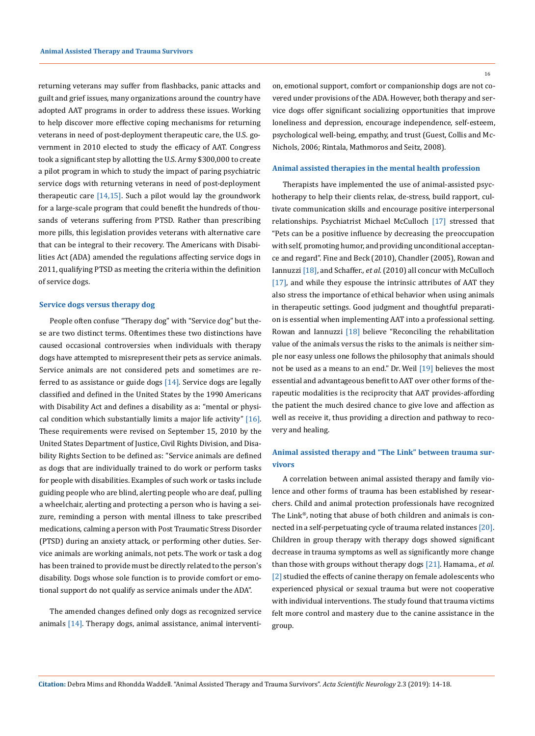returning veterans may suffer from flashbacks, panic attacks and guilt and grief issues, many organizations around the country have adopted AAT programs in order to address these issues. Working to help discover more effective coping mechanisms for returning veterans in need of post-deployment therapeutic care, the U.S. government in 2010 elected to study the efficacy of AAT. Congress took a significant step by allotting the U.S. Army \$300,000 to create a pilot program in which to study the impact of paring psychiatric service dogs with returning veterans in need of post-deployment therapeutic care [14,15]. Such a pilot would lay the groundwork for a large-scale program that could benefit the hundreds of thousands of veterans suffering from PTSD. Rather than prescribing more pills, this legislation provides veterans with alternative care that can be integral to their recovery. The Americans with Disabilities Act (ADA) amended the regulations affecting service dogs in 2011, qualifying PTSD as meeting the criteria within the definition of service dogs.

#### **Service dogs versus therapy dog**

People often confuse "Therapy dog" with "Service dog" but these are two distinct terms. Oftentimes these two distinctions have caused occasional controversies when individuals with therapy dogs have attempted to misrepresent their pets as service animals. Service animals are not considered pets and sometimes are referred to as assistance or guide dogs [14]. Service dogs are legally classified and defined in the United States by the 1990 Americans with Disability Act and defines a disability as a: "mental or physical condition which substantially limits a major life activity" [16]. These requirements were revised on September 15, 2010 by the United States Department of Justice, Civil Rights Division, and Disability Rights Section to be defined as: "Service animals are defined as dogs that are individually trained to do work or perform tasks for people with disabilities. Examples of such work or tasks include guiding people who are blind, alerting people who are deaf, pulling a wheelchair, alerting and protecting a person who is having a seizure, reminding a person with mental illness to take prescribed medications, calming a person with Post Traumatic Stress Disorder (PTSD) during an anxiety attack, or performing other duties. Service animals are working animals, not pets. The work or task a dog has been trained to provide must be directly related to the person's disability. Dogs whose sole function is to provide comfort or emotional support do not qualify as service animals under the ADA".

The amended changes defined only dogs as recognized service animals [14]. Therapy dogs, animal assistance, animal interventi16

on, emotional support, comfort or companionship dogs are not covered under provisions of the ADA. However, both therapy and service dogs offer significant socializing opportunities that improve loneliness and depression, encourage independence, self-esteem, psychological well-being, empathy, and trust (Guest, Collis and Mc-Nichols, 2006; Rintala, Mathmoros and Seitz, 2008).

#### **Animal assisted therapies in the mental health profession**

Therapists have implemented the use of animal-assisted psychotherapy to help their clients relax, de-stress, build rapport, cultivate communication skills and encourage positive interpersonal relationships. Psychiatrist Michael McCulloch [17] stressed that "Pets can be a positive influence by decreasing the preoccupation with self, promoting humor, and providing unconditional acceptance and regard". Fine and Beck (2010), Chandler (2005), Rowan and Iannuzzi [18], and Schaffer.*, et al.* (2010) all concur with McCulloch [17], and while they espouse the intrinsic attributes of AAT they also stress the importance of ethical behavior when using animals in therapeutic settings. Good judgment and thoughtful preparation is essential when implementing AAT into a professional setting. Rowan and Iannuzzi [18] believe "Reconciling the rehabilitation value of the animals versus the risks to the animals is neither simple nor easy unless one follows the philosophy that animals should not be used as a means to an end." Dr. Weil [19] believes the most essential and advantageous benefit to AAT over other forms of therapeutic modalities is the reciprocity that AAT provides-affording the patient the much desired chance to give love and affection as well as receive it, thus providing a direction and pathway to recovery and healing.

# **Animal assisted therapy and "The Link" between trauma survivors**

A correlation between animal assisted therapy and family violence and other forms of trauma has been established by researchers. Child and animal protection professionals have recognized The Link®, noting that abuse of both children and animals is connected in a self-perpetuating cycle of trauma related instances [20]. Children in group therapy with therapy dogs showed significant decrease in trauma symptoms as well as significantly more change than those with groups without therapy dogs [21]. Hamama., *et al.*  [2] studied the effects of canine therapy on female adolescents who experienced physical or sexual trauma but were not cooperative with individual interventions. The study found that trauma victims felt more control and mastery due to the canine assistance in the group.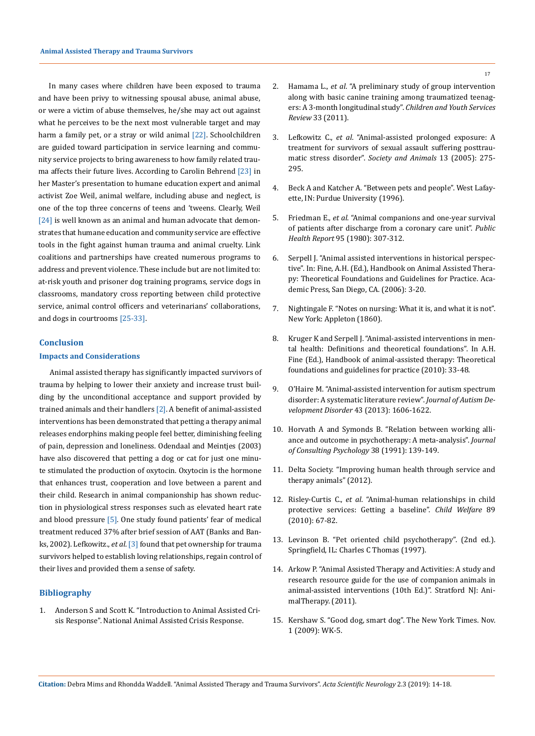In many cases where children have been exposed to trauma and have been privy to witnessing spousal abuse, animal abuse, or were a victim of abuse themselves, he/she may act out against what he perceives to be the next most vulnerable target and may harm a family pet, or a stray or wild animal [22]. Schoolchildren are guided toward participation in service learning and community service projects to bring awareness to how family related trauma affects their future lives. According to Carolin Behrend [23] in her Master's presentation to humane education expert and animal activist Zoe Weil, animal welfare, including abuse and neglect, is one of the top three concerns of teens and 'tweens. Clearly, Weil [24] is well known as an animal and human advocate that demonstrates that humane education and community service are effective tools in the fight against human trauma and animal cruelty. Link coalitions and partnerships have created numerous programs to address and prevent violence. These include but are not limited to: at-risk youth and prisoner dog training programs, service dogs in classrooms, mandatory cross reporting between child protective service, animal control officers and veterinarians' collaborations, and dogs in courtrooms [25-33].

## **Conclusion**

# **Impacts and Considerations**

Animal assisted therapy has significantly impacted survivors of trauma by helping to lower their anxiety and increase trust building by the unconditional acceptance and support provided by trained animals and their handlers [2]. A benefit of animal-assisted interventions has been demonstrated that petting a therapy animal releases endorphins making people feel better, diminishing feeling of pain, depression and loneliness. Odendaal and Meintjes (2003) have also discovered that petting a dog or cat for just one minute stimulated the production of oxytocin. Oxytocin is the hormone that enhances trust, cooperation and love between a parent and their child. Research in animal companionship has shown reduction in physiological stress responses such as elevated heart rate and blood pressure [5]. One study found patients' fear of medical treatment reduced 37% after brief session of AAT (Banks and Banks, 2002). Lefkowitz., *et al*. [3] found that pet ownership for trauma survivors helped to establish loving relationships, regain control of their lives and provided them a sense of safety.

## **Bibliography**

1. Anderson S and Scott K. "Introduction to Animal Assisted Crisis Response". National Animal Assisted Crisis Response.

- 2. Hamama L., *et al*[. "A preliminary study of group intervention](https://www.sciencedirect.com/science/article/pii/S019074091100199X)  [along with basic canine training among traumatized teenag](https://www.sciencedirect.com/science/article/pii/S019074091100199X)[ers: A 3-month longitudinal study".](https://www.sciencedirect.com/science/article/pii/S019074091100199X) *Children and Youth Services Review* [33 \(2011\).](https://www.sciencedirect.com/science/article/pii/S019074091100199X)
- 3. Lefkowitz C., *et al*[. "Animal-assisted prolonged exposure: A](http://www.animalsandsociety.org/wp-content/uploads/2016/01/lefkowitz.pdf)  [treatment for survivors of sexual assault suffering posttrau](http://www.animalsandsociety.org/wp-content/uploads/2016/01/lefkowitz.pdf)matic stress disorder". *[Society and Animals](http://www.animalsandsociety.org/wp-content/uploads/2016/01/lefkowitz.pdf)* 13 (2005): 275- [295.](http://www.animalsandsociety.org/wp-content/uploads/2016/01/lefkowitz.pdf)
- 4. [Beck A and Katcher A. "Between pets and people". West Lafay](http://www.thepress.purdue.edu/titles/format/9781557530776)[ette, IN: Purdue University \(1996\).](http://www.thepress.purdue.edu/titles/format/9781557530776)
- 5. Friedman E., *et al*[. "Animal companions and one-year survival](https://www.ncbi.nlm.nih.gov/pmc/articles/PMC1422527/)  [of patients after discharge from a coronary care unit".](https://www.ncbi.nlm.nih.gov/pmc/articles/PMC1422527/) *Public Health Report* [95 \(1980\): 307-312.](https://www.ncbi.nlm.nih.gov/pmc/articles/PMC1422527/)
- 6. Serpell J. "Animal assisted interventions in historical perspective". In: Fine, A.H. (Ed.), Handbook on Animal Assisted Therapy: Theoretical Foundations and Guidelines for Practice. Academic Press, San Diego, CA. (2006): 3-20.
- 7. Nightingale F. "Notes on nursing: What it is, and what it is not". New York: Appleton (1860).
- 8. Kruger K and Serpell J. "Animal-assisted interventions in mental health: Definitions and theoretical foundations". In A.H. Fine (Ed.), Handbook of animal-assisted therapy: Theoretical foundations and guidelines for practice (2010): 33-48.
- 9. [O'Haire M. "Animal-assisted intervention for autism spectrum](https://www.ncbi.nlm.nih.gov/pubmed/23124442)  [disorder: A systematic literature review".](https://www.ncbi.nlm.nih.gov/pubmed/23124442) *Journal of Autism De[velopment Disorder](https://www.ncbi.nlm.nih.gov/pubmed/23124442)* 43 (2013): 1606-1622.
- 10. [Horvath A and Symonds B. "Relation between working alli](https://psycnet.apa.org/record/1991-22095-001)[ance and outcome in psychotherapy: A meta-analysis".](https://psycnet.apa.org/record/1991-22095-001) *Journal [of Consulting Psychology](https://psycnet.apa.org/record/1991-22095-001)* 38 (1991): 139-149.
- 11. Delta Society. "Improving human health through service and therapy animals" (2012).
- 12. Risley-Curtis C., *et al*[. "Animal-human relationships in child](https://www.ncbi.nlm.nih.gov/pubmed/21319475)  [protective services: Getting a baseline".](https://www.ncbi.nlm.nih.gov/pubmed/21319475) *Child Welfare* 89 [\(2010\): 67-82.](https://www.ncbi.nlm.nih.gov/pubmed/21319475)
- 13. Levinson B. "Pet oriented child psychotherapy". (2nd ed.). Springfield, IL: Charles C Thomas (1997).
- 14. Arkow P. "Animal Assisted Therapy and Activities: A study and research resource guide for the use of companion animals in animal-assisted interventions (10th Ed.)". Stratford NJ: AnimalTherapy. (2011).
- 15. Kershaw S. "Good dog, smart dog". The New York Times. Nov. 1 (2009): WK-5.